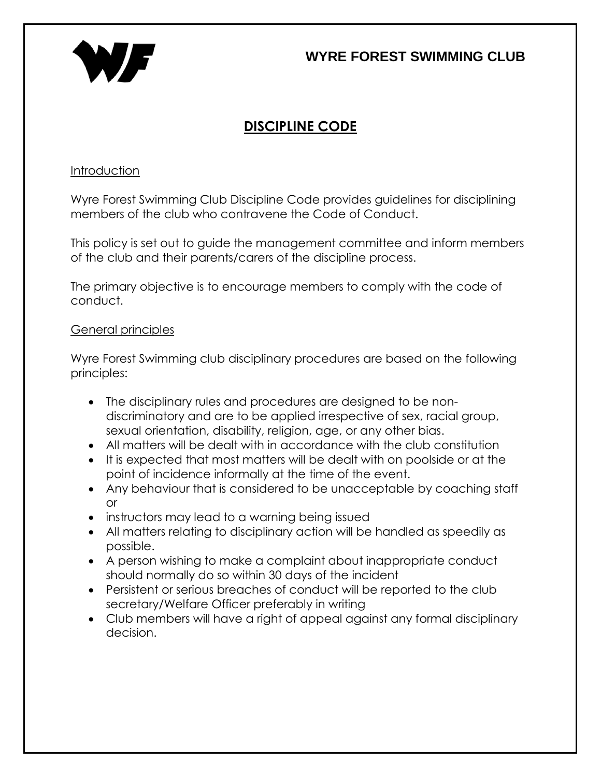# **WYRE FOREST SWIMMING CLUB**



# **DISCIPLINE CODE**

## **Introduction**

Wyre Forest Swimming Club Discipline Code provides guidelines for disciplining members of the club who contravene the Code of Conduct.

This policy is set out to guide the management committee and inform members of the club and their parents/carers of the discipline process.

The primary objective is to encourage members to comply with the code of conduct.

### General principles

Wyre Forest Swimming club disciplinary procedures are based on the following principles:

- The disciplinary rules and procedures are designed to be nondiscriminatory and are to be applied irrespective of sex, racial group, sexual orientation, disability, religion, age, or any other bias.
- All matters will be dealt with in accordance with the club constitution
- It is expected that most matters will be dealt with on poolside or at the point of incidence informally at the time of the event.
- Any behaviour that is considered to be unacceptable by coaching staff or
- instructors may lead to a warning being issued
- All matters relating to disciplinary action will be handled as speedily as possible.
- A person wishing to make a complaint about inappropriate conduct should normally do so within 30 days of the incident
- Persistent or serious breaches of conduct will be reported to the club secretary/Welfare Officer preferably in writing
- Club members will have a right of appeal against any formal disciplinary decision.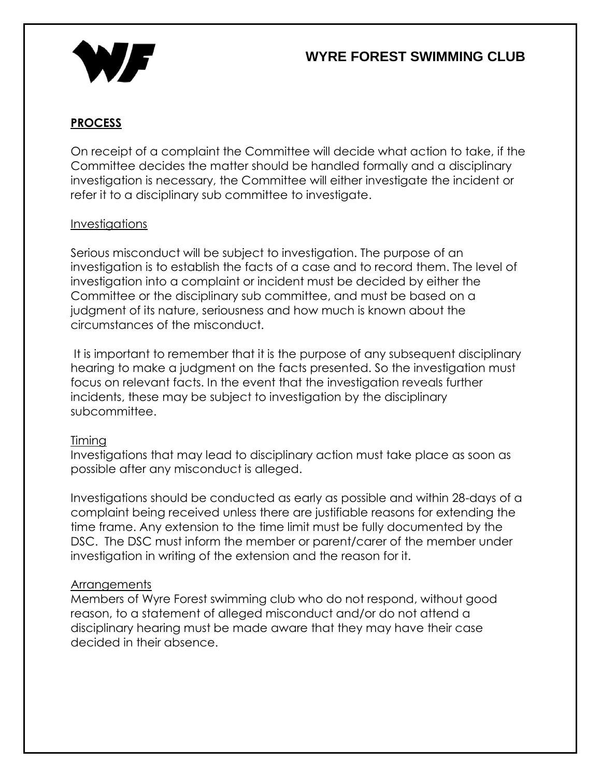# **WYRE FOREST SWIMMING CLUB**



## **PROCESS**

On receipt of a complaint the Committee will decide what action to take, if the Committee decides the matter should be handled formally and a disciplinary investigation is necessary, the Committee will either investigate the incident or refer it to a disciplinary sub committee to investigate.

#### **Investigations**

Serious misconduct will be subject to investigation. The purpose of an investigation is to establish the facts of a case and to record them. The level of investigation into a complaint or incident must be decided by either the Committee or the disciplinary sub committee, and must be based on a judgment of its nature, seriousness and how much is known about the circumstances of the misconduct.

It is important to remember that it is the purpose of any subsequent disciplinary hearing to make a judgment on the facts presented. So the investigation must focus on relevant facts. In the event that the investigation reveals further incidents, these may be subject to investigation by the disciplinary subcommittee.

#### Timing

Investigations that may lead to disciplinary action must take place as soon as possible after any misconduct is alleged.

Investigations should be conducted as early as possible and within 28-days of a complaint being received unless there are justifiable reasons for extending the time frame. Any extension to the time limit must be fully documented by the DSC. The DSC must inform the member or parent/carer of the member under investigation in writing of the extension and the reason for it.

#### **Arrangements**

Members of Wyre Forest swimming club who do not respond, without good reason, to a statement of alleged misconduct and/or do not attend a disciplinary hearing must be made aware that they may have their case decided in their absence.